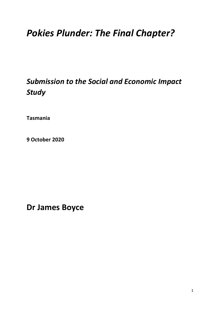# *Pokies Plunder: The Final Chapter?*

## *Submission to the Social and Economic Impact Study*

**Tasmania** 

**9 October 2020**

**Dr James Boyce**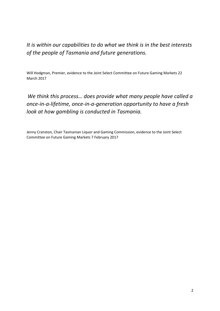## *It is within our capabilities to do what we think is in the best interests of the people of Tasmania and future generations.*

Will Hodgman, Premier, evidence to the Joint Select Committee on Future Gaming Markets 22 March 2017

*We think this process… does provide what many people have called a once-in-a-lifetime, once-in-a-generation opportunity to have a fresh look at how gambling is conducted in Tasmania.*

Jenny Cranston, Chair Tasmanian Liquor and Gaming Commission, evidence to the Joint Select Committee on Future Gaming Markets 7 February 2017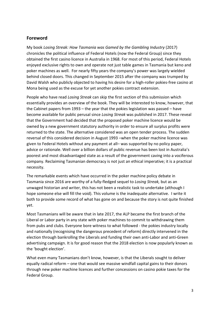#### **Foreword**

My book *Losing Streak: How Tasmania was Gamed by the Gambling Industry* (2017) chronicles the political influence of Federal Hotels (now the Federal Group) since they obtained the first casino licence in Australia in 1968. For most of this period, Federal Hotels enjoyed exclusive rights to own and operate not just table games in Tasmania but keno and poker machines as well. For nearly fifty years the company's power was largely wielded behind closed doors. This changed in September 2015 after the company was trumped by David Walsh who publicly objected to having his desire for a high-roller pokies-free casino at Mona being used as the excuse for yet another pokies contract extension.

People who have read *Losing Streak* can skip the first section of this submission which essentially provides an overview of the book. They will be interested to know, however, that the Cabinet papers from 1993 – the year that the pokies legislation was passed – have become available for public perusal since *Losing Streak* was published in 2017. These reveal that the Government had decided that the proposed poker machine licence would be owned by a new government statutory authority in order to ensure all surplus profits were returned to the state. The alternative considered was an open tender process. The sudden reversal of this considered decision in August 1993 –when the poker machine licence was given to Federal Hotels without any payment at all– was supported by no policy paper, advice or rationale. Well over a billion dollars of public revenue has been lost in Australia's poorest and most disadvantaged state as a result of the government caving into a vociferous company. Reclaiming Tasmanian democracy is not just an ethical imperative; it is a practical necessity.

The remarkable events which have occurred in the poker machine policy debate in Tasmania since 2016 are worthy of a fully-fledged sequel to *Losing Streak,* but as an unwaged historian and writer, this has not been a realistic task to undertake (although I hope someone else will fill the void). This volume is the inadequate alternative. I write it both to provide some record of what has gone on and because the story is not quite finished yet.

Most Tasmanians will be aware that in late 2017, the ALP became the first branch of the Liberal or Labor party in any state with poker machines to commit to withdrawing them from pubs and clubs. Everyone bore witness to what followed - the pokies industry locally and nationally (recognising the dangerous precedent of reform) directly intervened in the election through bankrolling the Liberals and funding their own anti-Labor and anti-Green advertising campaign. It is for good reason that the 2018 election is now popularly known as the 'bought election'.

What even many Tasmanians don't know, however, is that the Liberals sought to deliver equally radical reform – one that would see massive windfall capital gains to their donors through new poker machine licences and further concessions on casino pokie taxes for the Federal Group.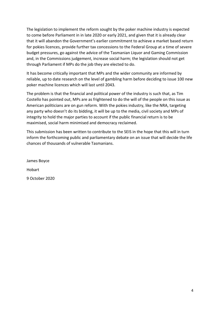The legislation to implement the reform sought by the poker machine industry is expected to come before Parliament in in late 2020 or early 2021, and given that it is already clear that it will abandon the Government's earlier commitment to achieve a market based return for pokies licences, provide further tax concessions to the Federal Group at a time of severe budget pressures, go against the advice of the Tasmanian Liquor and Gaming Commission and, in the Commissions judgement, increase social harm; the legislation should not get through Parliament if MPs do the job they are elected to do.

It has become critically important that MPs and the wider community are informed by reliable, up to date research on the level of gambling harm before deciding to issue 100 new poker machine licences which will last until 2043.

The problem is that the financial and political power of the industry is such that, as Tim Costello has pointed out, MPs are as frightened to do the will of the people on this issue as American politicians are on gun reform. With the pokies industry, like the NRA, targeting any party who doesn't do its bidding, it will be up to the media, civil society and MPs of integrity to hold the major parties to account if the public financial return is to be maximised, social harm minimised and democracy reclaimed.

This submission has been written to contribute to the SEIS in the hope that this will in turn inform the forthcoming public and parliamentary debate on an issue that will decide the life chances of thousands of vulnerable Tasmanians.

James Boyce Hobart 9 October 2020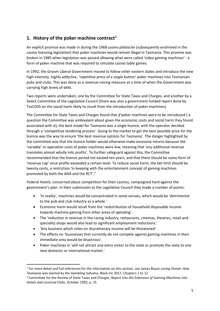#### **1. History of the poker machine contract[1](#page-4-0)**

An explicit promise was made in during the 1968 casino plebiscite (subsequently enshrined in the casino licencing legislation) that poker machines would remain illegal in Tasmania. This promise was broken in 1985 when legislation was passed allowing what were called 'video gaming machines' - a form of poker machine that was required to simulate casino table games.

In 1992, the Groom Liberal Government moved to follow other eastern states and introduce the new high intensity, highly addictive, 'repetitive press of a single button' poker machines into Tasmanian pubs and clubs. This was done as a revenue-raising measure at a time of when the Government was carrying high levels of debt.

Two reports were undertaken, one by the Committee for State Taxes and Charges, and another by a Select Committee of the Legislative Council (there was also a government funded report done by TasCOSS on the social harm likely to result from the introduction of poker machines).

The Committee for State Taxes and Charges found that *if* poker machines were to be introduced ( a question the Committee was ambivalent about given the economic costs and social harm they found associated with it), the best model for Tasmania was a single licence, with the operator decided through a 'competitive tendering process'. Going to the market to get the best possible price for the licence was the way to ensure 'the best revenue options for Tasmania'. The danger highlighted by the committee was that the licence holder would otherwise make excessive returns because the 'variable' or operation costs of poker machines were low, meaning that 'any additional revenue translates almost wholly into profits'. To further safeguard against this, the Committee recommended that the licence period not exceed ten years, and that there should be some form of 'revenue cap' once profits exceeded a certain level. To reduce social harm, the bet limit should be twenty cents, a restriction 'in keeping with the entertainment concept of gaming machines promoted by both the AHA and the RCT'.[2](#page-4-1)

Federal Hotels, concerned about competition for their casinos, campaigned hard against the government's plan. In their submission to the Legislative Council they made a number of points:

- 'In reality', machines would be concentrated in some venues, which would be 'detrimental to the pub and club industry as a whole.'
- Economic harm would result from the 'redistribution of household disposable income towards machine gaming from other areas of spending'.
- The 'reduction in revenue in the racing industry, restaurants, cinemas, theatres, retail and speciality shops would also lead to significant employment reductions.'
- 'Any business which relies on discretionary income will be threatened'
- The effects on 'businesses that currently do not compete against gaming machines in their immediate area would be disastrous'.
- Poker machines in 'will not attract one extra visitor to the state or promote the state to one new domestic or international market.'

<span id="page-4-0"></span> <sup>1</sup> For more detail and full references for the information on this section, see James Boyce *Losing Streak*: *How Tasmania was Gamed by the Gambling Industry*, Black Inc 2017, Chapters 1 to 12

<span id="page-4-1"></span><sup>2</sup> Committee for the Review of State Taxes and Charges, *Report into the Extension of Gaming Machines into Hotels and Licenced Clubs*, October 1992, p. 25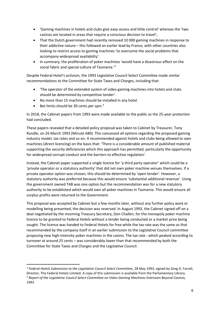- 'Gaming machines in hotels and clubs give easy access and little control' whereas the 'two casinos are located in areas that require a conscious decision to travel';
- That the Dutch government had recently removed 10 000 gaming machines in response to their addictive nature – this followed an earlier lead by France, with other countries also looking to restrict access to gaming machines 'to overcome the social problems that accompany widespread availability'.
- In summary, the proliferation of poker machines 'would have a disastrous effect on the social fabric and special culture of Tasmania.'<sup>[3](#page-5-0)</sup>

Despite Federal Hotel's activism, the 1993 Legislative Council Select Committee made similar recommendations to the Committee for State Taxes and Charges, including that:

- 'The operator of the extended system of video gaming machines into hotels and clubs should be determined by competitive tender'.
- No more than 15 machines should be installed in any hotel.
- Bet limits should be 30 cents per spin.<sup>[4](#page-5-1)</sup>

In 2018, the Cabinet papers from 1993 were made available to the public as the 25-year protection had concluded.

These papers revealed that a detailed policy proposal was taken to Cabinet by Treasurer, Tony Rundle, on 26 March 1993 (Minute 680). This canvassed all options regarding the proposed gaming industry model, tax rates and so on. It recommended against hotels and clubs being allowed to own machines (direct licencing) on the basis that: 'There is a considerable amount of published material supporting the security deficiencies which this approach has permitted, particularly the opportunity for widespread corrupt conduct and the barriers to effective regulation'.

Instead, the Cabinet paper supported a single licence for 'a third party operator' which could be a 'private operator or a statutory authority' that did not own poker machine venues themselves. If a private operator option was chosen, this should be determined by 'open tender'. However, a statutory authority was preferred because this would ensure 'substantial additional revenue'. Using the government owned TAB was one option but the recommendation was for a new statutory authority to be established which would own all poker machines in Tasmania. This would ensure all surplus profits were returned to the Government.

This proposal was accepted by Cabinet but a few months later, without any further policy work or modelling being presented, the decision was reversed. In August 1993, the Cabinet signed off on a deal negotiated by the incoming Treasury Secretary, Don Challen, for the monopoly poker machine licence to be granted to Federal Hotels without a tender being conducted or a market price being sought. The licence was handed to Federal Hotels for free while the tax rate was the same as that recommended by the company itself in an earlier submission to the Legislative Council committee proposing new high-intensity poker machines in the casino. The tax rate - which peaked according to turnover at around 25 cents – was considerably lower than that recommended by both the Committee for State Taxes and Charges and the Legislative Council.

<span id="page-5-1"></span><span id="page-5-0"></span> <sup>3</sup> *Federal Hotels Submission to the Legislative Council Select Committee*, 28 May 1993, signed by Greg D. Farrell, Director, The Federal Hotels Limited. A copy of this submission is available from the Parliamentary Library. <sup>4</sup> *Report of the Legislative Council Select Committee on Video Gaming Machines Extension Beyond Casinos,* 1993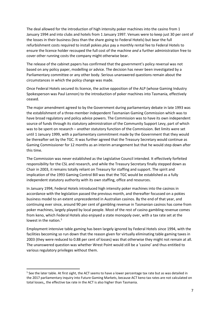The deal allowed for the introduction of high intensity poker machines into the casino from 1 January 1994 and into clubs and hotels from 1 January 1997. Venues were to keep just 30 per cent of the losses in their business (less than the share going to Federal Hotels) but bear the full refurbishment costs required to install pokies *plus* pay a monthly rental fee to Federal Hotels to ensure the licence holder recouped the full cost of the machine *and* a further administration free to cover other running costs the company might otherwise bear.

The release of the cabinet papers has confirmed that the government's policy reversal was not based on any policy paper, modelling or advice. The decision has never been investigated by a Parliamentary committee or any other body. Serious unanswered questions remain about the circumstances in which the policy change was made.

Once Federal Hotels secured its licence, the active opposition of the ALP (whose Gaming Industry Spokesperson was Paul Lennon) to the introduction of poker machines into Tasmania, effectively ceased.

The major amendment agreed to by the Government during parliamentary debate in late 1993 was the establishment of a three-member independent Tasmanian Gaming Commission which was to have broad regulatory and policy advice powers. The Commission was to have its own independent source of funds through its statutory administration of the Community Support Levy, part of which was to be spent on research – another statutory function of the Commission. Bet limits were set until 1 January 1999, with a parliamentary commitment made by the Government that they would be thereafter set by the TGC. It was further agreed that the Treasury Secretary would continue as Gaming Commissioner for 12 months as an interim arrangement but that he would step down after this time.

The Commission was never established as the Legislative Council intended. It effectively forfeited responsibility for the CSL and research, and while the Treasury Secretary finally stepped down as Chair in 2003, it remains totally reliant on Treasury for staffing and support. The spirit and implication of the 1993 Gaming Control Bill was that the TGC would be established as a fully independent statutory authority with its own staffing, office and resources.

In January 1994, Federal Hotels introduced high intensity poker machines into the casinos in accordance with the legislation passed the previous month, and thereafter focussed on a pokies business model to an extent unprecedented in Australian casinos. By the end of that year, and continuing ever since, around 90 per cent of gambling revenue in Tasmanian casinos has come from poker machines, largely played by local people. Most of the rest of casino gambling revenue comes from keno, which Federal Hotels also enjoyed a state monopoly over, with a tax rate set at the lowest in the nation.<sup>[5](#page-6-0)</sup>

Employment intensive table gaming has been largely ignored by Federal Hotels since 1994, with the facilities becoming so run down that the reason given for virtually eliminating table gaming taxes in 2003 (they were reduced to 0.88 per cent of losses) was that otherwise they might not remain at all. The unanswered question was whether Wrest Point would still be a 'casino' and thus entitled to various regulatory privileges without them.

<span id="page-6-0"></span><sup>&</sup>lt;sup>5</sup> See the later table. At first sight, the ACT seems to have a lower percentage tax rate but as was detailed in the 2017 parliamentary inquiry into Future Gaming Markets, because ACT keno tax rates are not calculated on total losses,, the effective tax rate in the ACT is also higher than Tasmania.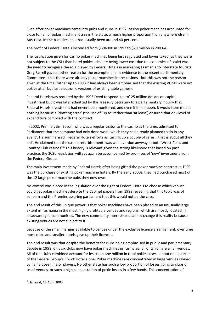Even after poker machines came into pubs and clubs in 1997, casino poker machines accounted for close to half of poker machine losses in the state, a much higher proportion than anywhere else in Australia. In the past decade it has usually been around 40 per cent.

The profit of Federal Hotels increased from \$596000 in 1993 to \$29 million in 2003-4.

The justification given for casino poker machines being less regulated and lower taxed (as they were not subject to the CSL) than hotel pokies (despite being lower cost due to economies of scale) was the need to recognise the role played by Federal Hotels in marketing Tasmania to interstate tourists. Greg Farrell gave another reason for the exemption in his evidence to the recent parliamentary Committee - that there were already poker machines in the casinos - but this was not the reason given at the time (rather up to 1993 it had always been emphasised that the existing VGMs were not pokies at all but just electronic versions of existing table games).

Federal Hotels was required by the 1993 Deed to spend 'up to' 25 million dollars on capital investment but it was later admitted by the Treasury Secretary to a parliamentary inquiry that Federal Hotels investment had never been monitored, and even if it had been, it would have meant nothing because a 'drafting error' (the use of 'up to' rather than 'at least') ensured that *any* level of expenditure complied with the contract.

In 2002, Premier, Jim Bacon, who was a regular visitor to the casino at the time, admitted to Parliament that the company had only done work 'which they had already planned to do in any event'. He summarised l Federal Hotels efforts as 'tarting up a couple of cafes… that is about all they did'. He claimed that the casino refurbishment 'was well overdue anyway at both Wrest Point and Country Club casinos'.<sup>[6](#page-7-0)</sup> This history is relevant given the strong likelihood that based on past practice, the 2020 legislation will yet again be accompanied by promises of 'new' investment from the Federal Group.

The main investment made by Federal Hotels after being gifted the poker machine contract in 1993 was the purchase of existing poker machine hotels. By the early 2000s, they had purchased most of the 12 large poker machine pubs they now own.

No control was placed in the legislation over the right of Federal Hotels to choose which venues could get poker machines despite the Cabinet papers from 1993 revealing that this topic was of concern and the Premier assuring parliament that this would not be the case.

The end result of this unique power is that poker machines have been placed to an unusually large extent in Tasmania in the most highly profitable venues and regions, which are mostly located in disadvantaged communities. The new community interest test cannot change this reality because existing venues are not subject to it.

Because of the small margins available to venues under the exclusive licence arrangement, over time most clubs and smaller hotels gave up their licences.

The end result was that despite the benefits for clubs being emphasised in public and parliamentary debate in 1993, only six clubs now have poker machines in Tasmania, all of which are small venues. All of the clubs combined account for less than one million in total pokie losses - about one quarter of the Federal Group's Elwick Hotel alone. Poker machines are concentrated in large venues owned by half a dozen major players. No other state has such a low proportion of losses going to clubs or small venues, or such a high concentration of pokie losses in a few hands. This concentration of

<span id="page-7-0"></span> <sup>6</sup> Hansard, 16 April 2003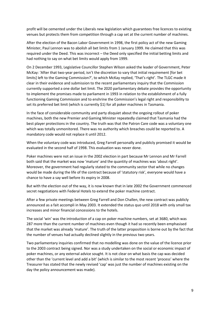profit will be cemented under the Liberals new legislation which guarantees free licences to existing venues but protects them from competition through a cap set at the current number of machines.

After the election of the Bacon Labor Government in 1998, the first policy act of the new Gaming Minister, Paul Lennon was to abolish all bet limits from 1 January 1999. He claimed that this was required under the Deed. This was incorrect – the Deed only specified the initial betting limits and had nothing to say on what bet limits would apply from 1999.

On 2 December 1993, Legislative Councillor Stephen Wilson asked the leader of Government, Peter McKay: 'After that two-year period, isn't the discretion to vary that initial requirement [for bet limits] left to the Gaming Commission?', to which McKay replied, 'That's right'. The TLGC made it clear in their evidence and submission to the recent parliamentary inquiry that the Commission currently supported a one dollar bet limit. The 2020 parliamentary debate provides the opportunity to implement the promises made to parliament in 1993 in relation to the establishment of a fully functioning Gaming Commission and to enshrine the Commission's legal right and responsibility to set its preferred bet limit (which is currently \$1) for all poker machines in Tasmania.

In the face of considerable community and party disquiet about the ongoing rollout of poker machines, both the new Premier and Gaming Minister repeatedly claimed that Tasmania had the best player protections in the country. The truth was that the Patron Care code was a voluntary one which was totally unmonitored. There was no authority which breaches could be reported to. A mandatory code would not replace it until 2012.

When the voluntary code was introduced, Greg Farrell personally and publicly promised it would be evaluated in the second half of 1998. This evaluation was never done.

Poker machines were not an issue in the 2002 election in part because Mr Lennon and Mr Farrell both said that the market was now 'mature' and the quantity of machines was 'about right'. Moreover, the government had regularly stated to the community sector that while no changes would be made during the life of the contract because of 'statutory risk', everyone would have a chance to have a say well before its expiry in 2008.

But with the election out of the way, it is now known that in late 2002 the Government commenced secret negotiations with Federal Hotels to extend the poker machine contract.

After a few private meetings between Greg Farrell and Don Challen, the new contract was publicly announced as a fait accompli in May 2003. It extended the status quo until 2018 with only small tax increases and minor financial concessions to the hotels.

The social 'win' was the introduction of a cap on poker machine numbers, set at 3680, which was 287 more than the current number of machines even though it had so recently been emphasised that the market was already 'mature'. The truth of the latter proposition is borne out by the fact that the number of venues had actually declined slightly in the previous two years.

Two parliamentary inquiries confirmed that no modelling was done on the value of the licence prior to the 2003 contract being signed. Nor was a study undertaken on the social or economic impact of poker machines, or any external advice sought. It is not clear on what basis the cap was decided other than the 'current level and add a bit' (which is similar to the most recent 'process' where the Treasurer has stated that the newly revised 'cap' was just the number of machines existing on the day the policy announcement was made).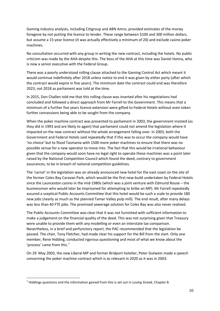Gaming industry analysts, including Citigroup and ABN Amro, provided estimates of the money foregone by not putting the licence to tender. These range between \$100 and 300 million dollars, but assume a 15-year licence (it was actually effectively a minimum of 20) and exclude casino poker machines.

No consultation occurred with any group in writing the new contract, including the hotels. No public criticism was made by the AHA despite this. The boss of the AHA at this time was Daniel Hanna, who is now a senior executive with the Federal Group.

There was a poorly understood rolling clause attached to the Gaming Control Act which meant it would continue indefinitely after 2018 unless notice to end it was given by either party (after which the contract would expire in five years). The minimum date the contract could end was therefore 2023, not 2018 as parliament was told at the time.

In 2015, Don Challen told me that this rolling clause was inserted after his negotiations had concluded and followed a direct approach from Mr Farrell to the Government. This means that a minimum of a further five years licence extension were gifted to Federal Hotels without even token further concessions being able to be sought from the company.

When the poker machine contract was presented to parliament in 2003, the government insisted (as they did in 1993 and are likely to again) that parliament could not amend the legislation where it impacted on the new contract without the whole arrangement falling over. In 2003, both the Government and Federal Hotels said repeatedly that if this was to occur the company would have 'no choice' but to flood Tasmania with 1500 more poker machines to ensure that there was no possible venue for a new operator to move into. The fact that this would be irrational behaviour given that the company would soon have no legal right to operate these machines was a point later raised by the National Competition Council which found the deed, contrary to government assurances, to be in breach of national competition guidelines.

The 'carrot' in the legislation was an already announced new hotel for the east coast on the site of the former Coles Bay Caravan Park, which would be the first new-build undertaken by Federal Hotels since the Launceston casino in the mid-1980s (which was a joint venture with Edmund Rouse – the businessman who would later be imprisoned for attempting to bribe an MP). Mr Farrell repeatedly assured a sceptical Public Accounts Committee that this hotel would be such a scale to provide 180 new jobs (nearly as much as the planned Tamar Valley pulp mill). The end result, after many delays was less than 40 FTE jobs. The promised sewerage solution for Coles Bay was also never realised.

The Public Accounts Committee was clear that it was not furnished with sufficient information to make a judgement on the financial quality of the deed. This was not surprising given that Treasury were unable to provide them with any modelling or even an interstate tax comparison. Nevertheless, in a brief and perfunctory report, the PAC recommended that the legislation be passed. The chair, Tony Fletcher, had made clear his support for the Bill from the start. Only one member, Rene Hidding, conducted rigorous questioning and most of what we know about the 'process' came from this.[7](#page-9-0)

On 29 May 2003, the new Liberal MP and former Bridport hotelier, Peter Gutwein made a speech concerning the poker machine contract which is as relevant in 2020 as it was in 2003:

<span id="page-9-0"></span> <sup>7</sup> Hiddings questions and the information gained from this is set out in *Losing Streak*, Chapter 8.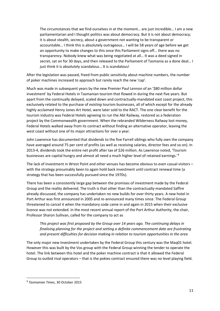The circumstances that we find ourselves in at the moment… are just incredible… I am a new parliamentarian and I thought politics was about democracy. But it is not about democracy; it is about stealth, secrecy, about a government not wanting to be transparent or accountable… I think this is absolutely outrageous… I will be 58 years of age before we get an opportunity to make changes to this once this Parliament signs off… there was no transparency. Nobody knew what was being negotiated at all… It was a deed signed in secret, sat on for 30 days, and then released to the Parliament of Tasmania as a done deal… I just think it is absolutely scandalous... It is scandalous!

After the legislation was passed, freed from public sensitivity about machine numbers, the number of poker machines increased to approach but rarely reach the new 'cap'.

Much was made in subsequent years by the new Premier Paul Lennon of an '\$80 million dollar investment' by Federal Hotels in Tasmanian tourism that flowed in during the next five years. But apart from the continually delayed, scaled down and contractually-mandated east coast project, this exclusively related to the purchase of *existing* tourism businesses, all of which except for the already highly acclaimed Henry Jones Art Hotel, were later sold to the RACT. The one clear benefit for the tourism industry was Federal Hotels agreeing to run the Abt Railway, restored as a federation project by the Commonwealth government. When the rebranded Wilderness Railway lost money, Federal Hotels walked away from its contract without finding an alternative operator, leaving the west coast without one of its major attractions for over a year.

John Lawrence has documented that dividends to the five Farrell siblings who fully own the company have averaged around 75 per cent of profits (as well as receiving salaries, director fees and so on). In 2013-4, dividends took the entire net profit after tax of \$26 million. As Lawrence noted, 'Tourism businesses are capital hungry and almost all need a much higher level of retained earnings.<sup>1[8](#page-10-0)</sup>

The lack of investment in Wrest Point and other venues has become obvious to even casual visitors – with the strategy presumably been to again hold back investment until contract renewal time (a strategy that has been successfully pursued since the 1970s).

There has been a consistently large gap between the promises of investment made by the Federal Group and the reality delivered. The truth is that other than the contractually-mandated Saffire already discussed, the company has undertaken no new builds for over thirty years. A new hotel in Port Arthur was first announced in 2005 and re-announced many times since. The Federal Group threatened to cancel it when the mandatory code came in and again in 2015 when their exclusive licence was not extended. In the most recent annual report of the Port Arthur Authority, the chair, Professor Sharon Sullivan, called for the company to act as

*This project was first proposed by the Group over 14 years ago. The continuing delays in finalising planning for the project and setting a definite commencement date are frustrating and present difficulties for decision making in relation to tourism opportunities in the area*

The only major new investment undertaken by the Federal Group this century was the Maq01 hotel. However this was built by the Vos group with the Federal Group winning the tender to operate the hotel. The link between this hotel and the poker machine contract is that it allowed the Federal Group to outbid rival operators – that is the pokies contract ensured there was no level playing field.

<span id="page-10-0"></span> <sup>8</sup> *Tasmanian Times*, 30 October 2015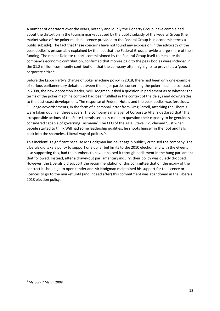A number of operators over the years, notably and loudly the Doherty Group, have complained about the distortion in the tourism market caused by the public subsidy of the Federal Group (the market value of the poker machine licence provided to the Federal Group is in economic terms a public subsidy). The fact that these concerns have not found any expression in the advocacy of the peak bodies is presumably explained by the fact that the Federal Group provide a large share of their funding. The recent Deloitte report, commissioned by the Federal Group itself to measure the company's economic contribution, confirmed that monies paid to the peak bodies were included in the \$1.8 million 'community contribution' that the company often highlights to prove it is a 'good corporate citizen'.

Before the Labor Party's change of poker machine policy in 2018, there had been only one example of serious parliamentary debate between the major parties concerning the poker machine contract. In 2008, the new opposition leader, Will Hodgman, asked a question in parliament as to whether the terms of the poker machine contract had been fulfilled in the context of the delays and downgrades to the east coast development. The response of Federal Hotels and the peak bodies was ferocious. Full page advertisements, in the form of a personal letter from Greg Farrell, attacking the Liberals were taken out in all three papers. The company's manager of Corporate Affairs declared that 'The irresponsible actions of the State Liberals seriously call in to question their capacity to be genuinely considered capable of governing Tasmania'. The CEO of the AHA, Steve Old, claimed 'Just when people started to think Will had some leadership qualities, he shoots himself in the foot and falls back into the shameless Liberal way of politics.<sup>'[9](#page-11-0)</sup>.

This incident is significant because Mr Hodgman has never again publicly criticised the company. The Liberals did take a policy to support one dollar bet limits to the 2010 election and with the Greens also supporting this, had the numbers to have it passed it through parliament in the hung parliament that followed. Instead, after a drawn-out parliamentary inquiry, their policy was quietly dropped. However, the Liberals did support the recommendation of this committee that on the expiry of the contract it should go to open tender and Mr Hodgman maintained his support for the licence or licences to go to the market until (and indeed after) this commitment was abandoned in the Liberals 2018 election policy.

<span id="page-11-0"></span> <sup>9</sup> *Mercury* 7 March 2008.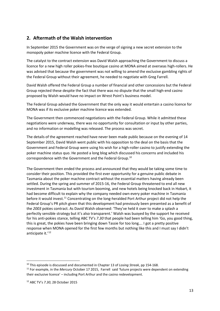#### **2. Aftermath of the Walsh intervention**

In September 2015 the Government was on the verge of signing a new secret extension to the monopoly poker machine licence with the Federal Group.

The catalyst to the contract extension was David Walsh approaching the Government to discuss a licence for a new high roller pokies-free boutique casino at MONA aimed at overseas high-rollers. He was advised that because the government was not willing to amend the exclusive gambling rights of the Federal Group without their agreement, he needed to negotiate with Greg Farrell.

David Walsh offered the Federal Group a number of financial and other concessions but the Federal Group rejected these despite the fact that there was no dispute that the small high-end casino proposed by Walsh would have no impact on Wrest Point's business model.

The Federal Group advised the Government that the only way it would entertain a casino licence for MONA was if its exclusive poker machine licence was extended.

The Government then commenced negotiations with the Federal Group. While it admitted these negotiations were underway, there was no opportunity for consultation or input by other parties, and no information or modelling was released. The process was secret.

The details of the agreement reached have never been made public because on the evening of 14 September 2015, David Walsh went public with his opposition to the deal on the basis that the Government and Federal Group were using his wish for a high-roller casino to justify extending the poker machine status quo. He posted a long blog which discussed his concerns and included his correspondence with the Government and the Federal Group.[10](#page-12-0)

The Government then ended the process and announced that they would be taking some time to consider their position. This provided the first ever opportunity for a genuine public debate in Tasmania about the poker machine contract without the essential matters having already been settled. During the spring and summer of 2015-16, the Federal Group threatened to end all new investment in Tasmania but with tourism booming, and new hotels being knocked back in Hobart, it had become difficult to explain why the company needed own every poker machine in Tasmania before it would invest.[11](#page-12-1) Concentrating on the long-heralded Port Arthur project did not help the Federal Group's PR pitch given that this development had previously been presented as a benefit of the *2003* pokies contract. As David Walsh observed: 'They've held it over to make a splash a perfectly sensible strategy but it's also transparent.' Walsh was buoyed by the support he received for his anti-pokies stance, telling ABC TV's *7*.*30* that people had been telling him 'Go, you good thing, this is great, the pokies have been bringing down Tassie for too long…. I got a pretty positive response when MONA opened for the first few months but nothing like this and I must say I didn't anticipate it.'<sup>[12](#page-12-2)</sup>

<span id="page-12-0"></span> <sup>10</sup> This episode is discussed and documented in Chapter 13 of *Losing Streak*, pp 154-168.

<span id="page-12-2"></span><span id="page-12-1"></span><sup>11</sup> For example, in the *Mercury* October 17 2015, Farrell said 'future projects were dependent on extending their exclusive licence' – including Port Arthur and the casino redevelopment.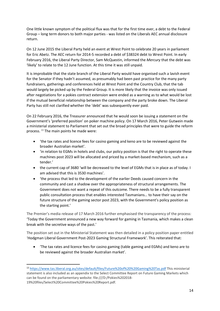One little known symptom of the political flux was that for the first time ever, a debt to the Federal Group – long term donors to both major parties - was listed on the Liberals AEC annual disclosure return.

On 12 June 2015 the Liberal Party held an event at Wrest Point to celebrate 20 years in parliament for Eric Abetz. The AEC return for 2014-5 recorded a debt of \$38324 debt to Wrest Point. In early February 2016, the Liberal Party Director, Sam McQuestin, informed the *Mercury* that the debt was 'likely' to relate to the 12 June function. At this time it was still unpaid.

It is improbable that the state branch of the Liberal Party would have organised such a lavish event for the Senator if they hadn't assumed, as presumably had been past practice for the many party fundraisers, gatherings and conferences held at Wrest Point and the Country Club, that the tab would largely be picked up by the Federal Group. It is more likely that the invoice was only issued after negotiations for a pokies contract extension were ended as a warning as to what would be lost if the mutual beneficial relationship between the company and the party broke down. The Liberal Party has still not clarified whether the 'debt' was subsequently ever paid.

On 22 February 2016, the Treasurer announced that he would soon be issuing a statement on the Government's 'preferred position' on poker machine policy. On 17 March 2016, Peter Gutwein made a ministerial statement to Parliament that set out the broad principles that were to guide the reform process.<sup>[13](#page-13-0)</sup> The main points he made were:

- 'the tax rates and licence fees for casino gaming and keno are to be reviewed against the broader Australian market'.
- 'in relation to EGMs in hotels and clubs, our policy position is that the right to operate these machines post 2023 will be allocated and priced by a market-based mechanism, such as a tender.'
- the current cap of 3680 'will be decreased to the level of EGMs that is in place as of today. I am advised that this is 3530 machines'.
- 'the process that led to the development of the earlier Deeds caused concern in the community and cast a shadow over the appropriateness of structural arrangements. The Government does not want a repeat of this outcome. There needs to be a fully transparent public consultation process that enables interested Tasmanians… to have their say on the future structure of the gaming sector post 2023, with the Government's policy position as the starting point.'

The Premier's media release of 17 March 2016 further emphasised the transparency of the process: 'Today the Government announced a new way forward for gaming in Tasmania, which makes a clean break with the secretive ways of the past.'

The position set out in the Ministerial Statement was then detailed in a policy position paper entitled 'Hodgman Liberal Government Post-2023 Gaming Structural Framework'. This reiterated that:

• 'The tax rates and licence fees for casino gaming (table gaming and EGMs) and keno are to be reviewed against the broader Australian market'.

<span id="page-13-0"></span> <sup>13</sup> <https://www.tas.liberal.org.au/sites/default/files/Future%20of%20%20Gaming%20Tas.pdf> This ministerial statement is also included as an appendix to the Select Committee Report on Future Gaming Markets which can be found on the parliamentary website: file:///D:/Pokies%202018- 19%20files/Select%20Committee%20Pokies%20Report.pdf.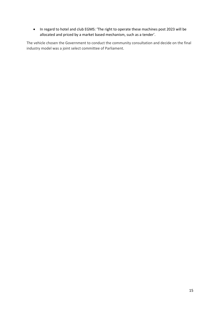• In regard to hotel and club EGMS: 'The right to operate these machines post 2023 will be allocated and priced by a market based mechanism, such as a tender'.

The vehicle chosen the Government to conduct the community consultation and decide on the final industry model was a joint select committee of Parliament.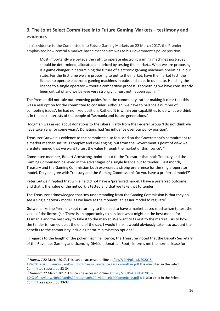### **3. The Joint Select Committee into Future Gaming Markets – testimony and evidence.**

In his evidence to the Committee into Future Gaming Markets on 22 March 2017, the Premier emphasised how central a market-based mechanism was to his Government's policy position:

Most importantly we believe the right to operate electronic gaming machines post-2023 should be determined, allocated and priced by testing the market… What we are proposing is a game changer in determining the future of electronic gaming machines operating in our state. For the first time we are proposing to put to the market, have the market test, the licence to operate electronic gaming machines in pubs and clubs in our state. Handling the licence to a single operator without a competitive process is something we have consistently been critical of and we believe very strongly it must not happen again...<sup>[14](#page-15-0)</sup>

The Premier did not rule out removing pokies from the community, rather making it clear that this was a real option for the committee to consider. Although 'we have to balance a number of competing issues', he had no fixed position. Rather, 'It is within our capabilities to do what we think is in the best interests of the people of Tasmania and future generations.'

Hodgman was asked about donations to the Liberal Party from the Federal Group 'I do not think we have taken any for some years'. Donations had 'no influence over our policy position'.

Treasurer Gutwein's evidence to the committee also focussed on the Government's commitment to a market mechanism: 'It is complex and challenging, but from the Government's point of view we are determined that we want to test the value through the market of this licence'. [15](#page-15-1)

Committee member, Robert Armstrong, pointed out to the Treasurer that both Treasury and the Gaming Commission believed in the advantages of a single licence put to tender: 'Last month, Treasury and the Gaming Commission both expressed a strong preference for the single-operator model. Do you agree with Treasury and the Gaming Commission? Do you have a preferred model?'

Peter Gutwein replied that while he did not have a 'preferred model. I have a preferred outcome, and that is the value of the network is tested and that we take that to tender.'

The Treasurer acknowledged that 'my understanding from the Gaming Commission is that they do see a single network model, as we have at the moment, an easier model to regulate'.

Gutwein, like the Premier, kept returning to the need to have a market based mechanism to test the value of the licence(s): 'There is an opportunity to consider what might be the best model for Tasmania and the best way to take it to the market. We want to take it to the market… As to how the tender is framed up at the end of the day, I would think it would obviously take into account the benefits to the community including harm-minimisation options.'

In regards to the length of the poker machine licence, the Treasurer noted that the Deputy Secretary of the Revenue, Gaming and Licencing Division, Jonathan Root, 'informs me the normal lease for

<span id="page-15-0"></span><sup>&</sup>lt;sup>14</sup> Hansard 22 March 2017. This can be accessed online at file:///D:/Pokies%202018-

<sup>19%20</sup>files/Gutwein%20and%20Hodgman%20evidence%20Committee.pdf It is also cited in the Select Committee report, pp 33-34

<span id="page-15-1"></span><sup>&</sup>lt;sup>15</sup> Hansard 22 March 2017. This can be accessed online at file:///D:/Pokies%202018-

<sup>19%20</sup>files/Gutwein%20and%20Hodgman%20evidence%20Committee.pdf It is also cited in the Select Committee report, pp 33-34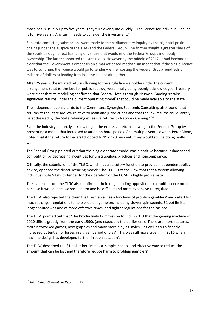machines is usually up to five years. They turn over quite quickly… The licence for individual venues is for five years… Any term needs to consider the investment.'

Separate conflicting submissions were made to the parliamentary inquiry by the big hotel pokie chains (under the auspice of the THA) and the Federal Group. The former sought a greater share of the spoils through direct licencing of venues that would end the Federal Groups monopoly ownership. The latter supported the status quo. However by the middle of 2017, it had become to clear that the Government's emphasis on a market based mechanism meant that if the single licence was to continue, the licence would go to tender – either costing the Federal Group hundreds of millions of dollars or leading it to lose the licence altogether.

After 25 years, the inflated returns flowing to the single licence holder under the current arrangement (that is, the level of public subsidy) were finally being openly acknowledged. Treasury were clear that its modelling confirmed that Federal Hotels through Network Gaming 'retains significant returns under the current operating model' that could be made available to the state.

The independent consultants to the Committee, Synergies Economic Consulting, also found 'that returns to the State are low relative to mainland jurisdictions and that the low returns could largely be addressed by the State retaining excessive returns to Network Gaming.' [16](#page-16-0)

Even the industry indirectly acknowledged the excessive returns flowing to the Federal Group by presenting a model that increased taxation on hotel pokies. One multiple venue owner, Peter Dixon, noted that if the return to Federal dropped to 19 or 20 per cent, 'they would still be doing really well'.

The Federal Group pointed out that the single operator model was a positive because it dampened competition by decreasing incentives for unscrupulous practices and noncompliance.

Critically, the submission of the TLGC, which has a statutory function to provide independent policy advice, opposed the direct licencing model: 'The TLGC is of the view that that a system allowing individual pubs/clubs to tender for the operation of the EGMs is highly problematic.'

The evidence from the TLGC also confirmed their long-standing opposition to a multi-licence model because it would increase social harm and be difficult and more expensive to regulate.

The TLGC also rejected the claim that Tasmania 'has a low level of problem gamblers' and called for much stronger regulations to help problem gamblers including slower spin speeds, \$1 bet limits, longer shutdowns and at more effective times, and tighter regulations for the casinos.

The TLGC pointed out that 'The Productivity Commission found in 2010 that the gaming machine of 2010 differs greatly from the early 1990s (and especially the earlier era)…There are more features, more networked games, new graphics and many more playing styles – as well as significantly increased potential for losses in a given period of play'. This was still more true in 'in 2016 when machine design has developed further in sophistication'.

The TLGC described the \$1 dollar bet limit as a 'simple, cheap, and effective way to reduce the amount that can be lost and therefore reduce harm to problem gamblers'.

<span id="page-16-0"></span> <sup>16</sup> *Joint Select Committee Report*, p 17.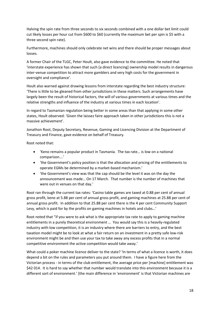Halving the spin rate from three seconds to six seconds combined with a one dollar bet limit could cut likely losses per hour cut from \$600 to \$60 (currently the maximum bet per spin is \$5 with a three second spin rate).

Furthermore, machines should only celebrate net wins and there should be proper messages about losses.

A former Chair of the TLGC, Peter Hoult, also gave evidence to the committee. He noted that 'interstate experience has shown that such [a direct licencing] ownership model results in dangerous inter-venue competition to attract more gamblers and very high costs for the government in oversight and compliance'.

Hoult also warned against drawing lessons from interstate regarding the best industry structure: 'There is little to be gleaned from other jurisdictions in these matters. Such arrangements have largely been the result of historical factors, the will of various governments at various times and the relative strengths and influence of the industry at various times in each location'.

In regard to Tasmanian regulation being better in some areas than that applying in some other states, Hoult observed: 'Given the laissez faire approach taken in other jurisdictions this is not a massive achievement'.

Jonathon Root, Deputy Secretary, Revenue, Gaming and Licencing Division at the Department of Treasury and Finance, gave evidence on behalf of Treasury.

Root noted that:

- 'Keno remains a popular product in Tasmania. The tax rate… is low on a national comparison….'
- 'the Government's policy position is that the allocation and pricing of the entitlements to operate EGMs be determined by a market-based mechanism.'
- 'the Government's view was that the cap should be the level it was on the day the announcement was made… On 17 March. That number is the number of machines that were out in venues on that day.'

Root ran through the current tax rates: 'Casino table games are taxed at 0.88 per cent of annual gross profit, keno at 5.88 per cent of annual gross profit, and gaming machines at 25.88 per cent of annual gross profit. In addition to that 25.88 per cent there is the 4 per cent Community Support Levy, which is paid for by the profits on gaming machines in hotels and clubs…'

Root noted that "if you were to ask what is the appropriate tax rate to apply to gaming machine entitlements in a purely theoretical environment … You would say this is a heavily-regulated industry with low competition, it is an industry where there are barriers to entry, and the best taxation model might be to look at what a fair return on an investment in a pretty safe low-risk environment might be and then use your tax to take away any excess profits that in a normal competitive environment the active competition would take away.'

What could a poker machine licence deliver to the state? 'In terms of what a licence is worth, it does depend a bit on the rules and parameters you put around them. I have a figure here from the Victorian process - in terms of the club entitlement, the average price per [machine] entitlement was \$42 014. It is hard to say whether that number would translate into this environment because it is a different sort of environment.' [the main difference in 'environment' is that Victorian machines are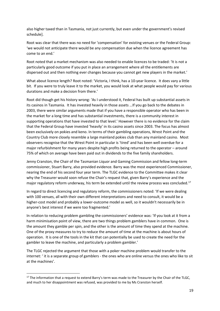also higher taxed than in Tasmania, not just currently, but even under the government's revised schedule].

Root was clear that there was no need for 'compensation' for existing venues or the Federal Group: 'we would not anticipate there would be any compensation due when the licence agreement has come to an end.'

Root noted that a market mechanism was also needed to enable licences to be traded: 'It is not a particularly good outcome if you put in place an arrangement where all the entitlements are dispersed out and then nothing ever changes because you cannot get new players in the market.'

What about licence length? Root noted: 'Victoria, I think, has a 10-year licence. It does vary a little bit. If you were to truly leave it to the market, you would look at what people would pay for various durations and make a decision from there.'

Root did though get his history wrong: 'As I understood it, Federal has built up substantial assets in its casinos in Tasmania. It has invested heavily in those assets …If you go back to the debates in 2003, there were similar arguments made that if you have a responsible operator who has been in the market for a long time and has substantial investments, there is a community interest in supporting operations that have invested to that level.' However there is no evidence for the claim that the Federal Group have invested 'heavily' in its casino assets since 2003. The focus has almost been exclusively on pokies and keno. In terms of their gambling operations, Wrest Point and the Country Club more closely resemble a large mainland pokies club than any mainland casino. Most observers recognise that the Wrest Point in particular is 'tired' and has been well overdue for a major refurbishment for many years despite high profits being returned to the operator – around 75% of which on average have been paid out in dividends to the five family shareholders.

Jenny Cranston, the Chair of the Tasmanian Liquor and Gaming Commission and fellow long-term commissioner, Stuart Barry, also provided evidence. Barry was the most experienced Commissioner, nearing the end of his second four year term. The TLGC evidence to the Committee makes it clear why the Treasurer would soon refuse the Chair's request that, given Barry's experience and the major regulatory reform underway, his term be extended until the review process was concluded.<sup>[17](#page-18-0)</sup>

In regard to direct licencing and regulatory reform, the commissioners noted: 'If we were dealing with 100 venues, all with their own different interpretations and need to consult, it would be a higher-cost model and probably a lower-outcome model as well, so it wouldn't necessarily be in anyone's best interest if we were too fragmented.'

In relation to reducing problem gambling the commissioners' evidence was: 'If you look at it from a harm minimisation point of view, there are two things problem gamblers have in common. One is the amount they gamble per spin, and the other is the amount of time they spend at the machine. One of the proxy measures to try to reduce the amount of time at the machine is about hours of operation. It is one of the tools in the kit that can potentially be used to create the need for the gambler to leave the machine, and particularly a problem gambler.'

The TLGC rejected the argument that those with a poker machine problem would transfer to the internet: ' it is a separate group of gamblers - the ones who are online versus the ones who like to sit at the machines'.

<span id="page-18-0"></span><sup>&</sup>lt;sup>17</sup> The information that a request to extend Barry's term was made to the Treasurer by the Chair of the TLGC, and much to her disappointment was refused, was provided to me by Ms Cranston herself.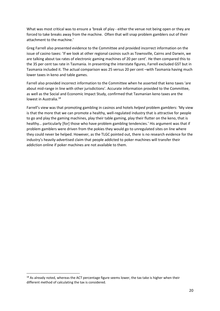What was most critical was to ensure a 'break of play - either the venue not being open or they are forced to take breaks away from the machine. Often that will snap problem gamblers out of their attachment to the machine.'

Greg Farrell also presented evidence to the Committee and provided incorrect information on the issue of casino taxes: 'If we look at other regional casinos such as Townsville, Cairns and Darwin, we are talking about tax rates of electronic gaming machines of 20 per cent'. He then compared this to the 35 per cent tax rate in Tasmania. In presenting the interstate figures, Farrell excluded GST but in Tasmania included it. The actual comparison was 25 versus 20 per cent –with Tasmania having much lower taxes in keno and table games.

Farrell also provided incorrect information to the Committee when he asserted that keno taxes 'are about mid-range in line with other jurisdictions'. Accurate information provided to the Committee, as well as the Social and Economic Impact Study, confirmed that Tasmanian keno taxes are the lowest in Australia. [18](#page-19-0)

Farrell's view was that promoting gambling in casinos and hotels *helped* problem gamblers: 'My view is that the more that we can promote a healthy, well-regulated industry that is attractive for people to go and play the gaming machines, play their table gaming, play their flutter on the keno, that is healthy… particularly [for] those who have problem gambling tendencies.' His argument was that if problem gamblers were driven from the pokies they would go to unregulated sites on line where they could never be helped. However, as the TLGC pointed out, there is no research evidence for the industry's heavily-advertised claim that people addicted to poker machines will transfer their addiction online if poker machines are not available to them.

<span id="page-19-0"></span><sup>&</sup>lt;sup>18</sup> As already noted, whereas the ACT percentage figure seems lower, the tax take is higher when their different method of calculating the tax is considered.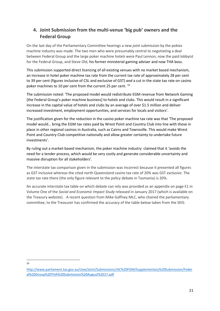### **4. Joint Submission from the multi-venue 'big pub' owners and the Federal Group**

On the last day of the Parliamentary Committee hearings a new *joint* submission by the pokies machine industry was made. The two men who were presumably central to negotiating a deal between Federal Group and the large poker machine hotels were Paul Lennon, now the paid lobbyist for the Federal Group, and Steve Old, his former ministerial gaming adviser and now THA boss.

This submission supported direct licencing of all existing venues with no market based mechanism, an increase in hotel poker machine tax rate from the current tax rate of approximately 28 per cent to 39 per cent (figures inclusive of CSL and exclusive of GST) *and* a cut in the state tax rate on casino poker machines to 10 per cent from the current 25 per cent.<sup>[19](#page-20-0)</sup>

The submission noted: 'The proposed model would redistribute EGM revenue from Network Gaming [the Federal Group's poker machine business] to hotels and clubs. This would result in a significant increase in the capital value of hotels and clubs by an average of over \$1.5 million and deliver increased investment, employment opportunities, and services for locals and visitors'.

The justification given for the reduction in the casino poker machine tax rate was that 'The proposed model would… bring the EGM tax rates paid by Wrest Point and Country Club into line with those in place in other regional casinos in Australia, such as Cairns and Townsville. This would make Wrest Point and Country Club competitive nationally and allow greater certainty to undertake future investments'.

By ruling out a market-based mechanism, the poker machine industry claimed that it 'avoids the need for a tender process, which would be very costly and generate considerable uncertainty and massive disruption for all stakeholders'.

The interstate tax comparison given in the submission was incorrect because it presented all figures as GST inclusive whereas the cited north Queensland casino tax rate of 20% was GST *exclusive*. The state tax rate there (the only figure relevant to the policy debate in Tasmania) is 20%.

An accurate interstate tax table on which debate can rely was provided as an appendix on page E1 in Volume One of the *Social and Economic Impact Study* released in January 2017 (which is available on the Treasury website). A recent question from Mike Gaffney MLC, who chaired the parliamentary committee, to the Treasurer has confirmed the accuracy of the table below taken from the SEIS:

19

<span id="page-20-0"></span>[http://www.parliament.tas.gov.au/ctee/Joint/Submissions/JSC%20FGM/Supplementary%20Submission/Feder](http://www.parliament.tas.gov.au/ctee/Joint/Submissions/JSC%20FGM/Supplementary%20Submission/Federal%20Group%20THA%20Submission%20August%2017.pdf) [al%20Group%20THA%20Submission%20August%2017.pdf](http://www.parliament.tas.gov.au/ctee/Joint/Submissions/JSC%20FGM/Supplementary%20Submission/Federal%20Group%20THA%20Submission%20August%2017.pdf)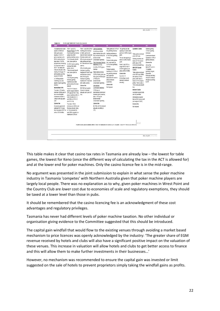| <b>NSW</b>                                                                                                                                                                                                                                                                                                                                                                                                                                                                                                                                                                                                                                                                                                                                        | <b>VIC</b><br>QLD                                                                                                                                                                                                                                                                                                                                                                                                                                                                                                                                                                                                                                                                                                                                                                                                  | <b>WA</b><br><b>SA</b>                                                                                                                                                                                                                                                                                                                                                                                                                                                                                                                                                                                                                                                                                                                                                                                                                                                                                                                                                                                                                                | <b>TAS</b>                                                                                                                                                                                                                                                                                                                                                                                                                                                                                                                                                                                                                                                                                                     | <b>NT</b>                                                                                                                                                                                                                                                                                                                                                                                                                                                                                                                                                                                 | <b>ACT</b>                                                                                                                                                                                                                                                                                      |
|---------------------------------------------------------------------------------------------------------------------------------------------------------------------------------------------------------------------------------------------------------------------------------------------------------------------------------------------------------------------------------------------------------------------------------------------------------------------------------------------------------------------------------------------------------------------------------------------------------------------------------------------------------------------------------------------------------------------------------------------------|--------------------------------------------------------------------------------------------------------------------------------------------------------------------------------------------------------------------------------------------------------------------------------------------------------------------------------------------------------------------------------------------------------------------------------------------------------------------------------------------------------------------------------------------------------------------------------------------------------------------------------------------------------------------------------------------------------------------------------------------------------------------------------------------------------------------|-------------------------------------------------------------------------------------------------------------------------------------------------------------------------------------------------------------------------------------------------------------------------------------------------------------------------------------------------------------------------------------------------------------------------------------------------------------------------------------------------------------------------------------------------------------------------------------------------------------------------------------------------------------------------------------------------------------------------------------------------------------------------------------------------------------------------------------------------------------------------------------------------------------------------------------------------------------------------------------------------------------------------------------------------------|----------------------------------------------------------------------------------------------------------------------------------------------------------------------------------------------------------------------------------------------------------------------------------------------------------------------------------------------------------------------------------------------------------------------------------------------------------------------------------------------------------------------------------------------------------------------------------------------------------------------------------------------------------------------------------------------------------------|-------------------------------------------------------------------------------------------------------------------------------------------------------------------------------------------------------------------------------------------------------------------------------------------------------------------------------------------------------------------------------------------------------------------------------------------------------------------------------------------------------------------------------------------------------------------------------------------|-------------------------------------------------------------------------------------------------------------------------------------------------------------------------------------------------------------------------------------------------------------------------------------------------|
| A progressive tax scale<br>applies to EGM and<br>table game gross<br>revenue. In 2016-17<br>gross revenues up to<br>\$722.4 million faced a<br>base rate of 16.41%.<br>progressively increasing<br>to a maximum rate of<br>38.91. Tax bands are<br>indexed annually to the<br>Sydney All Groups CPI<br>and rounded up to the<br>nearest \$100,000<br>A 2 % Responsible<br>Gambling Levy also<br>applies to gross gaming<br>revenue<br><b>International VIPs</b><br>Tax rate is 10% with a<br>minimum of \$6m paid in<br>two non-refundable<br>instalments of \$3m in<br>January and July each<br>year.<br>Licence fee<br>Exclusivity agreement<br>extended for 12 years<br>from November 2007 for in 1% increments for<br>a fee of \$100 million. | From 1 July 2012<br>Regular Players 31.57% monthly gross revenue<br>of gross gaming revenue on table games and<br>(player loss) from<br>gaming machines, plus a Brisbane casinos and<br>1% Community Benefit<br>Levy, plus super tax.<br>21.25% of gross gaming<br>casinos.<br>revenue from table<br>games, plus a<br>1%Community Benefit<br>Levy, plus super tax.<br>Super tax<br>A tax on gross gaming<br>revenue (gaming<br>machines plus table<br>games) above the base<br>Licence fee<br>amount<br>The 2014-15 base is<br>\$933m (equal to \$500m<br>CPI-adjusted from 1994,<br>plus an additional \$5m in July.<br>2009-10 and 2010-11<br>and \$30m in 2011-12<br>and 2012-13).<br>Tax rate is 1% for<br>revenue up to \$20m over<br>the base amount, rising<br>each \$20m bracket to a<br>maximum of 20% on | From 1 July 2009 20% of Gaming Machines:<br>12.42% tax of EGM<br>gross revenue plus a 2% Gaming machines at<br>Keno for Gold Coast and<br>levy on total revenue for<br>environmental<br>10% of gross revenue on<br>conversation spending<br>table games and Keno<br>Fully Automated Gaming<br>for Townsville and Caims<br>Machines (FATG):<br>12.42% of FATG gross<br>30% of monthly gross<br>revenue<br>revenue on gaming<br>Table Games & Keno<br>machines for Gold Coast<br>and Brisbane casinos<br>9.37% of table game and<br>and 20% of gross<br>keno gross revenue plus<br>revenue on gaming<br>a 1% levy for<br>machines for Townsville<br>environmental<br>and Cairns casinos.<br>conservation spending<br>International<br>Commission Business<br>\$237,800 per quarter.<br>1.75% tax on<br>Amount is indexed<br>annually each year on 1<br>international commission<br>business gross revenue,<br>plus a 1% levy for<br>environmental<br>conservation spending<br>Licence fee<br>\$2.769m (2016) (Indexed<br>annually according to<br>CPI). | Table games at 3.41% of The gaming tax rate<br>applying to casino table<br>net gambling revenue.<br>games is 0.88% of gross<br>profit.<br>41.0% of net gambling<br>The tax rate applying to<br>revenue.<br>keno is 5.88% of gross<br>Premium table games<br>profit.<br>(incl. automated) at<br>0.91% of net gambling<br>From 1 July 2013, a<br>single flat tax rate of<br>revenue.<br>25.88% applies to all<br>Premium gaming<br>gross profit on EGMs.<br>machines at 10.91% of<br>net gambling revenue<br>Licence fee<br>less approved<br>For 2016-17.<br>deductions for costs to<br>\$152,200per month<br>attract premium<br>(amount is indexed)<br>customers).<br>annually).<br>Licence fee<br>Not imposed. | Lasseters Casino:<br>Table games are taxed<br>at the GST rate.<br>Gaming machines are<br>taxes at 11% of gross<br>profit, plus a 10%<br>community benefit levy<br><b>SKYCITY Darwin</b><br>Casino:<br>Table games are taxed<br>at the GST rate. EGMs<br>are taxed at 15% of<br>gross profit. Keno is<br>taxed at 10 % of gross<br>profits. There is also a<br>10% community benefit<br>levv.<br>Internet Casino:<br>Australian sourced bets<br>are not permitted.<br>International sourced<br>bets at 4% of gross profit<br>(not subject to GST).<br>Licence fee<br>Not imposed.<br>$E-2$ | General gaming:<br>10.9% of gaming<br>revenues.<br>Commission-based<br>Operations: 0.9% of<br>gaming revenues.<br>Licence fee<br>Annual fee<br>\$891,877 for 2011-<br>12 payable<br>quarterly (August,<br>November.<br>February and May).<br>Amount is indexed<br>annually according<br>to CPI. |

This table makes it clear that casino tax rates in Tasmania are already low – the lowest for table games, the lowest for Keno (once the different way of calculating the tax in the ACT is allowed for) and at the lower end for poker machines. Only the casino licence fee is in the mid-range.

No argument was presented in the joint submission to explain in what sense the poker machine industry in Tasmania 'competes' with Northern Australia given that poker machine players are largely local people. There was no explanation as to why, given poker machines in Wrest Point and the Country Club are *lower* cost due to economies of scale and regulatory exemptions, they should be taxed at a lower level than those in pubs.

It should be remembered that the casino licencing fee is an acknowledgment of these cost advantages and regulatory privileges.

Tasmania has never had different levels of poker machine taxation. No other individual or organisation giving evidence to the Committee suggested that this should be introduced.

The capital gain windfall that would flow to the existing venues through avoiding a market based mechanism to price licences was openly acknowledged by the industry: 'The greater share of EGM revenue received by hotels and clubs will also have a significant positive impact on the valuation of these venues. This increase in valuation will allow hotels and clubs to get better access to finance and this will allow them to make further investments in their businesses…'

However, no mechanism was recommended to ensure the capital gain was invested or limit suggested on the sale of hotels to prevent proprietors simply taking the windfall gains as profits.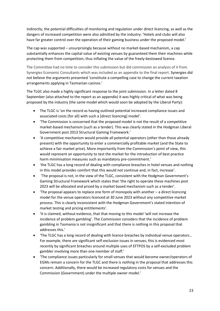Indirectly, the potential difficulties of monitoring and regulation under direct licencing, as well as the dangers of increased competition were also admitted by the industry: 'Hotels and clubs will also have far greater control over the operation of their gaming business under the proposed model.'

The cap was supported – unsurprisingly because without no market-based mechanism, a cap substantially enhances the capital value of existing venues by guaranteed them their machines while protecting them from competition; thus inflating the value of the freely-bestowed licence.

The Committee had no time to consider this submission but did commission an analysis of it from Synergies Economic Consultants which was included as an appendix to the final report. Synergies did *not* believe the arguments presented 'constitute a compelling case to change the current taxation arrangements applying in Tasmanian casinos.'

The TLGC also made a highly significant response to the joint submission. In a letter dated 8 September (also attached to the report as an appendix) it was highly critical of what was being proposed by the industry (the same model which would soon be adopted by the Liberal Party):

- The TLGC is 'on the record as having outlined potential increased compliance issues and associated costs (for all) with such a [direct licencing] model'.
- 'The Commission is concerned that the proposed model is not the result of a competitive market-based mechanism (such as a tender). This was clearly stated in the Hodgman Liberal Government post 2013 Structural Gaming Framework.'
- 'A competitive mechanism would provide all potential operators (other than those already present) with the opportunity to enter a commercially profitable market (and the State to achieve a fair market price). More importantly from the Commission's point of view, this would represent an opportunity to test the market for the introduction of best practice harm minimisation measures such as mandatory pre-commitment.'
- 'the TLGC has a long record of dealing with compliance breaches in hotel venues and nothing in this model provides comfort that this would not continue and, in fact, increase'.
- 'The proposal is not, in the view of the TLGC, consistent with the Hodgman Government's Gaming Structural Framework which states that 'the right to operate these machines post 2023 will be allocated and priced by a market based mechanism such as a tender'.
- $\bullet$  'The proposal appears to replace one form of monopoly with another  $-$  a direct licencing model for the venue operators licenced at 30 June 2023 without any competitive market process. This is clearly inconsistent with the Hodgman Government's stated intention of market testing and pricing entitlements'.
- 'It is claimed, without evidence, that that moving to this model 'will not increase the incidence of problem gambling'. The Commission considers that the incidence of problem gambling in Tasmania is not insignificant and that there is nothing in this proposal that addresses this.'
- The TLGC has a long record of dealing with licence breaches by individual venue operators... For example, there are significant self-exclusion issues in venues; this is evidenced most recently by significant breaches around multiple uses of EFTPOS by a self-excluded problem gambler involving more than one member of staff.'
- 'The compliance issues particularly for small venues that would become owner/operators of EGMs remain a concern for the TLGC and there is nothing in the proposal that addresses this concern. Additionally, there would be increased regulatory costs for venues and the Commission (Government) under the multiple owner model.'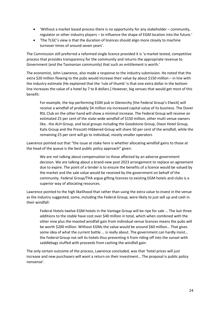- 'Without a market based process there is no opportunity for any stakeholder community, regulator or other industry players – to influence the shape of EGM location into the future.'
- 'The TLGC's view is that the duration of licences should align more closely to machine turnover times of around seven years'.

The Commission still preferred a reformed single licence provided it is 'a market tested, competitive process that provides transparency for the community and returns the appropriate revenue to Government (and the Tasmanian community) that such an entitlement is worth.'

The economist, John Lawrence, also made a response to the industry submission. He noted that the extra \$20 million flowing to the pubs would increase their value by about \$150 million – in line with the industry estimate (He explained that the 'rule of thumb' is that one extra dollar in the bottom line increases the value of a hotel by 7 to 8 dollars.] However, big venues that would get most of this benefit:

For example, the top performing EGM pub in Glenorchy [the Federal Group's Elwick] will receive a windfall of probably \$4 million via increased capital value of its business. The Dover RSL Club on the other hand will show a minimal increase. The Federal Group will receive an estimated 25 per cent of the state-wide windfall of \$150 million, other multi venue owners like.. the ALH Group, and local groups including the Goodstone Group, Dixon Hotel Group, Kalis Group and the Prescott-Hibbered Group will share 50 per cent of the windfall, while the remaining 25 per cent will go to individual, mostly smaller operators

Lawrence pointed out that "the issue at stake here is whether allocating windfall gains to those at the head of the queue is the best public policy approach" given:

We are not talking about compensation to those affected by an adverse government decision. We are talking about a brand-new post 2023 arrangement to replace an agreement due to expire. The point of a tender is to ensure the benefits of a licence would be valued by the market and the sale value would be received by the government on behalf of the community. Federal Group/THA argue gifting licences to existing EGM hotels and clubs is a superior way of allocating resources.

Lawrence pointed to the high likelihood that rather than using the extra value to invest in the venue as the industry suggested, some, including the Federal Group, were likely to just sell up and cash in their windfall:

Federal Hotels twelve EGM hotels in the Vantage Group will be ripe for sale … The last three additions to the stable have cost over \$40 million in total, which when combined with the other nine plus the mooted windfall gain from individual venue licences means the pubs will be worth \$200 million. Without EGMs the value would be around \$60 million… That gives some idea of what the current battle … is really about. The government can hardly insist… the Federal Group not sell its hotels thus preventing it from riding off into the sunset with saddlebags stuffed with proceeds from cashing the windfall gain.

The only certain outcome of the process, Lawrence concluded, was that 'hotel prices will just increase and new purchasers will want a return on their investment… The proposal is public policy nonsense'.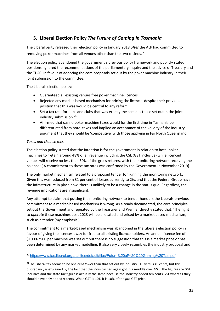#### **5. Liberal Election Policy** *The Future of Gaming in Tasmania*

The Liberal party released their election policy in January 2018 *after* the ALP had committed to removing poker machines from all venues other than the two casinos. <sup>[20](#page-24-0)</sup>

The election policy abandoned the government's previous policy framework and publicly stated positions, ignored the recommendations of the parliamentary inquiry and the advice of Treasury and the TLGC, in favour of adopting the core proposals set out by the poker machine industry in their joint submission to the committee.

The Liberals election policy:

- Guaranteed all existing venues free poker machine licences.
- Rejected any market-based mechanism for pricing the licences despite their previous position that this was would be central to any reform.
- Set a tax rate for pubs and clubs that was exactly the same as those set out in the joint industry submission.<sup>[21](#page-24-1)</sup>
- Affirmed that casino poker machine taxes would for the first time in Tasmania be differentiated from hotel taxes and implied an acceptance of the validity of the industry argument that they should be 'competitive' with those applying in Far North Queensland.

#### *Taxes and Licence fees*

The election policy stated that the intention is for the government in relation to hotel poker machines to 'retain around 48% of all revenue including the CSL (GST inclusive) while licenced venues will receive no less than 50% of the gross returns, with the monitoring network receiving the balance.'[ A commitment to these tax rates was confirmed by the Government in November 2019].

The only market mechanism related to a proposed tender for running the monitoring network. Given this was reduced from 31 per cent of losses currently to 2%, and that the Federal Group have the infrastructure in place now, there is unlikely to be a change in the status quo. Regardless, the revenue implications are insignificant.

Any attempt to claim that putting the monitoring network to tender honours the Liberals previous commitment to a market-based mechanism is wrong. As already documented, the core principles set out the Government and repeated by the Treasurer and Premier directly stated that: 'The right to *operate* these machines post 2023 will be allocated and priced by a market based mechanism, such as a tender'(my emphasis.)

The commitment to a market-based mechanism was abandoned in the Liberals election policy in favour of giving the licences away for free to all existing licence holders. An annual licence fee of \$1000-2500 per machine was set out but there is no suggestion that this is a market price or has been determined by any market modelling. It also very closely resembles the industry proposal and

<span id="page-24-0"></span> <sup>20</sup> <https://www.tas.liberal.org.au/sites/default/files/Future%20of%20%20Gaming%20Tas.pdf>

<span id="page-24-1"></span><sup>21</sup>The Liberal tax seems to be one cent *lower* than that set out by industry– 48 versus 49 cents, but this discrepancy is explained by the fact that the industry had again got in a muddle over GST. The figures are GST inclusive and the state tax figure is actually the same because the industry added ten cents GST whereas they should have only added 9 cents. While GST is 10% it is 10% of the *pre*-GST price.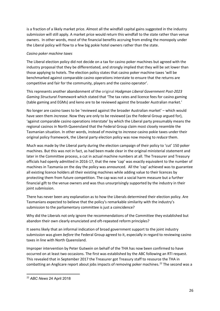is a fraction of a likely market price. Almost all the windfall capital gains suggested in the industry submission will still apply. A market price would return this windfall to the state rather than venue owners. In other words, most of the financial benefits accruing from ending the monopoly under the Liberal policy will flow to a few big pokie hotel owners rather than the state.

#### *Casino poker machine taxes*

The Liberal election policy did not decide on a tax for casino poker machines but agreed with the industry proposal that they be differentiated, and strongly implied that they will be set lower than those applying to hotels. The election policy states that casino poker machine taxes 'will be benchmarked against comparable casino operations interstate to ensure that the returns are competitive and fair for the community, players and the casino operator'.

This represents another abandonment of the original *Hodgman Liberal Government Post-2023 Gaming Structural Framework* which stated that 'The tax rates and licence fees for casino gaming (table gaming and EGMs) and keno are to be reviewed against the broader Australian market.'

No longer are casino taxes to be 'reviewed against the broader Australian market' – which would have seen them *increase*. Now they are only to be reviewed (as the Federal Group argued for), 'against comparable casino operations interstate' by which the Liberal party presumably means the regional casinos in North Queensland that the Federal Group claim most closely resemble the Tasmanian situation. In other words, instead of moving to *increase* casino pokie taxes under their original policy framework, the Liberal party election policy was now moving to *reduce* them.

Much was made by the Liberal party during the election campaign of their policy to 'cut' 150 poker machines. But this was not in fact, as had been made clear in the original ministerial statement and later in the Committee process, a cut in actual machine numbers at all. The Treasurer and Treasury officials had openly admitted in 2016-17, that the new 'cap' was exactly equivalent to the number of machines in Tasmania on the day the policy was announced. All the 'cap' achieved was to guarantee all existing licence holders all their existing machines while adding value to their licences by protecting them from future competition. The cap was not a social harm measure but a further financial gift to the venue owners and was thus unsurprisingly supported by the industry in their joint submission.

There has never been any explanation as to how the Liberals determined their election policy. Are Tasmanians expected to believe that the policy's remarkable similarity with the industry's submission to the parliamentary committee is just a coincidence?

Why did the Liberals not only ignore the recommendations of the Committee they established but abandon their own clearly enunciated and oft-repeated reform principles?

It seems likely that an informal indication of broad government support to the joint industry submission was given *before* the Federal Group agreed to it, especially in regard to reviewing casino taxes in line with North Queensland.

Improper intervention by Peter Gutwein on behalf of the THA has now been confirmed to have occurred on at least two occasions. The first was established by the ABC following an RTI request. This revealed that in September 2017 the Treasurer got Treasury staff to resource the THA in combatting an Anglicare report about jobs impacts of removing poker machines.<sup>[22](#page-25-0)</sup> The second was a

<span id="page-25-0"></span> <sup>22</sup> *ABC News* 24 April 2018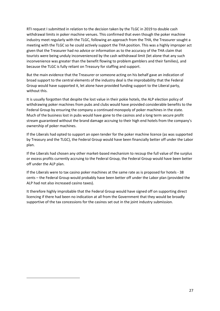RTI request I submitted in relation to the decision taken by the TLGC in 2019 to double cash withdrawal limits in poker machine venues. This confirmed that even though the poker machine industry meet regularly with the TLGC, following an approach from the THA, the Treasurer sought a meeting with the TLGC so he could actively support the THA position. This was a highly improper act given that the Treasurer had no advice or information as to the accuracy of the THA claim that tourists were being unduly inconvenienced by the cash withdrawal limit (let alone that any such inconvenience was greater than the benefit flowing to problem gamblers and their families), and because the TLGC is fully reliant on Treasury for staffing and support.

But the main evidence that the Treasurer or someone acting on his behalf gave an indication of broad support to the central elements of the industry deal is the improbability that the Federal Group would have supported it, let alone have provided funding support to the Liberal party, without this.

It is usually forgotten that despite the lost value in their pokie hotels, the ALP election policy of withdrawing poker machines from pubs and clubs would have provided considerable benefits to the Federal Group by ensuring the company a continued monopoly of poker machines in the state. Much of the business lost in pubs would have gone to the casinos and a long term secure profit stream guaranteed without the brand damage accruing to their high end hotels from the company's ownership of poker machines.

If the Liberals had opted to support an open tender for the poker machine licence (as was supported by Treasury and the TLGC), the Federal Group would have been financially better off under the Labor plan.

If the Liberals had chosen any other market-based mechanism to recoup the full value of the surplus or excess profits currently accruing to the Federal Group, the Federal Group would have been better off under the ALP plan.

If the Liberals were to tax casino poker machines at the same rate as is proposed for hotels - 38 cents – the Federal Group would probably have been better off under the Labor plan (provided the ALP had not also increased casino taxes).

It therefore highly improbable that the Federal Group would have signed off on supporting direct licencing if there had been no indication at all from the Government that they would be broadly supportive of the tax concessions for the casinos set out in the joint industry submission.

 $\overline{a}$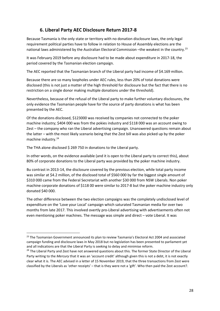#### **6. Liberal Party AEC Disclosure Return 2017-8**

Because Tasmania is the only state or territory with no donation disclosure laws, the only legal requirement political parties have to follow in relation to House of Assembly elections are the national laws administered by the Australian Electoral Commission -the weakest in the country.<sup>[23](#page-27-0)</sup>

It was February 2019 before any disclosure had to be made about expenditure in 2017-18, the period covered by the Tasmanian election campaign.

The AEC reported that the Tasmanian branch of the Liberal party had income of \$4.169 million.

Because there are so many loopholes under AEC rules, less than 20% of total donations were disclosed (this is not just a matter of the high threshold for disclosure but the fact that there is no restriction on a single donor making multiple donations under the threshold).

Nevertheless, because of the refusal of the Liberal party to make further voluntary disclosures, the only evidence the Tasmanian people have for the source of party donations is what has been presented by the AEC.

Of the donations disclosed, \$123000 was received by companies not connected to the poker machine industry; \$404 000 was from the pokies industry and \$118 000 was an account owing to Zest – the company who ran the Liberal advertising campaign. Unanswered questions remain about the latter – with the most likely scenario being that the Zest bill was also picked up by the poker machine industry.[24](#page-27-1)

The THA alone disclosed \$ 269 750 in donations to the Liberal party.

In other words, on the evidence available (and it is open to the Liberal party to correct this), about 80% of corporate donations to the Liberal party was provided by the poker machine industry.

Bu contrast in 2013-14, the disclosure covered by the previous election, while total party income was similar at \$4.2 million, of the disclosed total of \$560 000 by far the biggest single amount of \$310 000 came from the Federal Secretariat with another \$30 000 from NSW Liberals. Non poker machine corporate donations of \$118 00 were similar to 2017-8 but the poker machine industry only donated \$40 000.

The other difference between the two election campaigns was the completely undisclosed level of expenditure on the 'Love your Local' campaign which saturated Tasmanian media for over two months from late 2017. This involved overtly pro-Liberal advertising with advertisements often not even mentioning poker machines. The message was simple and direct – vote Liberal. It was

<span id="page-27-0"></span><sup>&</sup>lt;sup>23</sup> The Tasmanian Government announced its plan to review Tasmania's Electoral Act 2004 and associated campaign funding and disclosure laws in May 2018 but no legislation has been presented to parliament yet and all indications are that the Liberal Party is seeking to delay and minimise reform.

<span id="page-27-1"></span><sup>&</sup>lt;sup>24</sup> The Liberal Party and Zest have not answered questions about this. The former State Director of the Liberal Party writing to the *Mercury* that it was an 'account credit' although given this is not a debt, it is not exactly clear what it is. The AEC advised in a letter of 15 November 2019, that the three transactions from Zest were classified by the Liberals as 'other receipts' – that is they were not a 'gift'. Who then paid the Zest account?.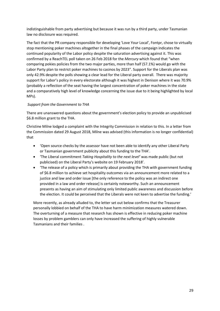indistinguishable from party advertising but because it was run by a third party, under Tasmanian law no disclosure was required.

The fact that the PR company responsible for developing 'Love Your Local', Fontpr, chose to virtually stop mentioning poker machines altogether in the final phases of the campaign indicates the continued popularity of the Labor policy despite the saturation advertising against it. This was confirmed by a ReachTEL poll taken on 26 Feb 2018 for the *Mercury* which found that "when comparing pokies policies from the two major parties, more than half (57.1%) would go with the Labor Party plan to restrict poker machines to casinos by 2023". Support for the Liberals plan was only 42.9% despite the polls showing a clear lead for the Liberal party overall. There was majority support for Labor's policy in every electorate although it was highest in Denison where it was 70.9% (probably a reflection of the seat having the largest concentration of poker machines in the state and a comparatively high level of knowledge concerning the issue due to it being highlighted by local MPs).

#### *Support from the Government to THA*

There are unanswered questions about the government's election policy to provide an unpublicised \$6.8 million grant to the THA.

Christine Milne lodged a complaint with the Integrity Commission in relation to this. In a letter from the Commission dated 29 August 2018, Milne was advised (this information is no longer confidential) that

- 'Open source checks by the assessor have not been able to identify any other Liberal Party or Tasmanian government publicity about this funding to the THA'.
- 'The Liberal commitment *Taking Hospitality to the next level'* was made public (but not publicised) on the Liberal Party's website on 19 February 2018'.
- 'The release of a policy which is primarily about providing the THA with government funding of \$6.8 million to achieve set hospitality outcomes via an announcement more related to a justice and law and order issue [the only reference to the policy was an indirect one provided in a law and order release] is certainly noteworthy. Such an announcement presents as having an aim of stimulating only limited public awareness and discussion before the election. It could be perceived that the Liberals were not keen to advertise the funding.'

More recently, as already alluded to, the letter set out below confirms that the Treasurer personally lobbied on behalf of the THA to have harm minimization measures watered down. The overturning of a measure that research has shown is effective in reducing poker machine losses by problem gamblers can only have increased the suffering of highly vulnerable Tasmanians and their families .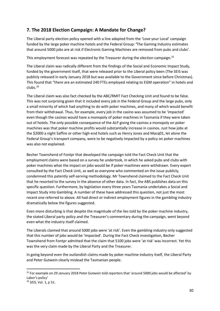#### **7. The 2018 Election Campaign: A Mandate for Change?**

The Liberal party election policy opened with a line adapted from the 'Love your Local' campaign funded by the large poker machine hotels and the Federal Group: **'**The Gaming Industry estimates that around 5000 jobs are at risk if Electronic Gaming Machines are removed from pubs and clubs'.

This employment forecast was repeated by the Treasurer during the election campaign.<sup>[25](#page-29-0)</sup>

The Liberal claim was radically different from the findings of the Social and Economic Impact Study, funded by the government itself, that were released prior to the Liberal policy been (The SEIS was publicly released in early January 2018 but was available to the Government since before Christmas). This found that "there are an estimated 240 FTEs employed relating to EGM operation" in hotels and clubs.[26](#page-29-1)

The Liberal claim was also fact checked by the ABC/RMIT Fact Checking Unit and found to be false. This was not surprising given that it included every job in the Federal Group and the large pubs, only a small minority of which had anything to do with poker machines, and many of which would benefit from their withdrawal. Thus, for example, every job in the casino was assumed to be 'impacted' even though the casinos would have a monopoly of poker machines in Tasmania if they were taken out of hotels. The only possible consequence of the ALP giving the casinos a monopoly on poker machines was that poker machine profits would substantially increase in casinos. Just how jobs at the \$2000 a night Saffire or other high-end hotels such as Henry Jones and Macq01, let alone the Federal Group's transport company, were to be negatively impacted by a policy on poker machines was also not explained.

Becher Townshend of Fontpr that developed the campaign told the Fact Check Unit that the employment claims were based on a survey he undertook, in which he asked pubs and clubs with poker machines what the impact on jobs would be if poker machines were withdrawn. Every expert consulted by the Fact Check Unit, as well as everyone who commented on the issue publicly, condemned this patently self-serving methodology. Mr Townshend claimed to the Fact Check Unit that he resorted to the survey in the absence of other data. In fact, the ABS publishes data on this specific question. Furthermore, by legislation every three years Tasmania undertakes a Social and Impact Study into Gambling. A number of these have addressed this question, not just the most recent one referred to above. All had direct or indirect employment figures in the gambling industry dramatically below the figures suggested.

Even more disturbing is that despite the magnitude of the lies told by the poker machine industry, the stated Liberal party policy and the Treasurer's commentary during the campaign, went beyond even what the industry itself claimed.

The Liberals claimed that around 5000 jobs were 'at risk'. Even the gambling industry only suggested that this number of jobs would be 'impacted'. During the Fact Check investigation, Becher Townshend from Fontpr admitted that the claim that 5100 jobs were 'at risk' was incorrect. Yet this was the very claim made by the Liberal Party and the Treasurer.

In going beyond even the outlandish claims made by poker machine industry itself, the Liberal Party and Peter Gutwein clearly mislead the Tasmanian people.

<span id="page-29-0"></span><sup>&</sup>lt;sup>25</sup> For example on 29 January 2018 Peter Gutwein told reporters that 'around 5000 jobs would be affected' by Labor's policy'

<span id="page-29-1"></span><sup>26</sup> *SEIS*, Vol. 1, p 51.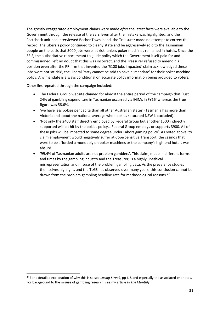The grossly exaggerated employment claims were made *after* the latest facts were available to the Government through the release of the SEIS. Even after the mistake was highlighted, and the Factcheck unit had interviewed Becher Townshend, the Treasurer made no attempt to correct the record. The Liberals policy continued to clearly state and be aggressively sold to the Tasmanian people on the basis that 5000 jobs were 'at risk' unless poker machines remained in hotels. Since the SEIS, the authoritative report meant to guide policy which the Government itself paid for and commissioned, left no doubt that this was incorrect, and the Treasurer refused to amend his position even after the PR firm that invented the '5100 jobs impacted' claim acknowledged these jobs were not 'at risk'; the Liberal Party cannot be said to have a 'mandate' for their poker machine policy. Any mandate is always conditional on accurate policy information being provided to voters.

Other lies repeated through the campaign included:

- The Federal Group website claimed for almost the entire period of the campaign that 'Just 24% of gambling expenditure in Tasmanian occurred via EGMs in FY16' whereas the true figure was 58.6%.
- 'we have less pokies per capita than all other Australian states' (Tasmania has more than Victoria and about the national average when pokies saturated NSW is excluded).
- 'Not only the 2400 staff directly employed by Federal Group but another 1500 indirectly supported will bit hit by the pokies policy… Federal Group employs or supports 3900. All of these jobs will be impacted to some degree under Labors gaming policy'. As noted above, to claim employment would negatively suffer at Cope Sensitive Transport, the casinos that were to be afforded a monopoly on poker machines or the company's high-end hotels was absurd.
- '99.4% of Tasmanian adults are not problem gamblers'. This claim, made in different forms and times by the gambling industry and the Treasurer, is a highly unethical misrepresentation and misuse of the problem gambling data. As the prevalence studies themselves highlight, and the TLGS has observed over many years, this conclusion cannot be drawn from the problem gambling headline rate for methodological reasons.<sup>[27](#page-30-0)</sup>

<span id="page-30-0"></span> <sup>27</sup> For a detailed explanation of why this is so see *Losing Streak*, pp 6-8 and especially the associated endnotes. For background to the misuse of gambling research, see my article in *The Monthly*;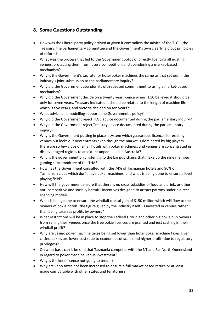#### **8. Some Questions Outstanding**

- How was the Liberal party policy arrived at given it contradicts the advice of the TLGC, the Treasury, the parliamentary committee and the Government's own clearly laid out principles of reform?
- What was the process that led to the Government policy of directly licencing all existing venues, protecting them from future competition, and abandoning a market-based mechanism?
- Why is the Government's tax rate for hotel poker machines the same as that set out in the industry's joint submission to the parliamentary inquiry?
- Why did the Government abandon its oft-repeated commitment to using a market-based mechanism?
- Why did the Government decide on a twenty year licence when TLGC believed it should be only for seven years, Treasury indicated it should be related to the length of machine life which is five years, and Victoria decided on ten years?
- What advice and modelling supports the Government's policy?
- Why did the Government reject TLGC advice documented during the parliamentary inquiry?
- Why did the Government reject Treasury advice documented during the parliamentary inquiry?
- Why is the Government putting in place a system which guarantees licences for existing venues but locks out new entrants even though the market is dominated by big players, there are so few clubs or small hotels with poker machines, and venues are concentrated in disadvantaged regions to an extent unparalleled in Australia?
- Why is the government only listening to the big pub chains that make up the nine member gaming subcommittee of the THA?
- How has the Government consulted with the 74% of Tasmanian hotels and 96% of Tasmanian clubs which don't have poker machines, and what is being done to ensure a level playing field?
- How will the government ensure that there is no cross subsidies of food and drink, or other anti-competitive and socially harmful incentives designed to attract patrons under a direct licencing model?
- What is being done to ensure the windfall capital gain of \$150 million which will flow to the owners of pokie hotels (the figure given by the industry itself) is invested in venues rather than being taken as profits by owners?
- What restrictions will be in place to stop the Federal Group and other big pokie pub owners from selling their venues once the free pokie licences are granted and just cashing in their windfall profit?
- Why are casino poker machine taxes being set lower than hotel poker machine taxes given casino pokies are lower cost (due to economies of scale) and higher profit (due to regulatory privileges)?
- On what basis can it be said that Tasmania competes with the NT and Far North Queensland in regard to poker machine venue investment?
- Why is the keno licence not going to tender?
- Why are keno taxes not been increased to ensure a full market based return or at least made comparable with other states and territories?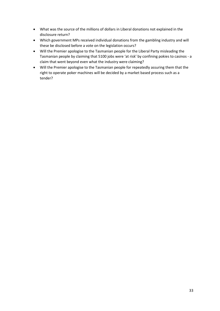- What was the source of the millions of dollars in Liberal donations not explained in the disclosure return?
- Which government MPs received individual donations from the gambling industry and will these be disclosed before a vote on the legislation occurs?
- Will the Premier apologise to the Tasmanian people for the Liberal Party misleading the Tasmanian people by claiming that 5100 jobs were 'at risk' by confining pokies to casinos - a claim that went beyond even what the industry were claiming?
- Will the Premier apologise to the Tasmanian people for repeatedly assuring them that the right to operate poker machines will be decided by a market based process such as a tender?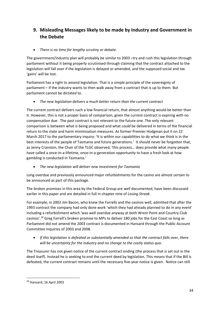## **9. Misleading Messages likely to be made by Industry and Government in the Debate**

• *There is no time for lengthy scrutiny or debate.* 

The government/industry plan will probably be similar to 2003 –try and rush this legislation through parliament without it being properly scrutinised through claiming that the contract attached to the legislation will fall over if the legislation is delayed or amended, and the supposed social and tax 'gains' will be lost.

Parliament has a right to amend legislation. That is a simple principle of the sovereignty of parliament – if the industry wants to then walk away from a contract that is up to them. But parliament cannot be dictated to.

• *The new legislation delivers a much better return than the current contract*

The current contract delivers such a low financial return, that almost anything would be better than it. However, this is not a proper basis of comparison, given the current contract is expiring with no compensation due. The past contract is not relevant to the future one. The only relevant comparison is between what *is* being proposed and what *could* be delivered in terms of the financial return to the state and harm minimisation measures. As former Premier Hodgman put it on 22 March 2017 to the parliamentary inquiry: 'It is within our capabilities to do what we think is in the best interests of the people of Tasmania and future generations.' It should never be forgotten that, as Jenny Cranston, the Chair of the TLGC observed, 'this process… does provide what many people have called a once-in-a-lifetime, once-in-a-generation opportunity to have a fresh look at how gambling is conducted in Tasmania.'

• *The new legislation will deliver new investment for Tasmania*

Long overdue and previously announced major refurbishments for the casino are almost certain to be announced as part of this package.

The broken promises in this area by the Federal Group are well documented, have been discussed earlier in this paper and are detailed in full in chapter nine of *Losing Streak*.

For example, in 2002 Jim Bacon, who knew the Farrells and the casinos well, admitted that after the 1993 contract the company had only done work 'which they had already planned to do in any event' including a refurbishment which 'was well overdue anyway at both Wrest Point and Country Club casinos'.[28](#page-33-0) Greg Farrell's broken promise to MPs to deliver 180 jobs for the East Coast so long as Parliament did not amend the 2003 contract is documented in Hansard through the Public Account Committee Inquiries of 2003 and 2008.

• *If this legislation is defeated or substantially amended so that the contract falls over, there will be uncertainty for the industry and no change to the costly status quo.*

The Treasurer has not given notice of the current contract ending (the process that is set out in the deed itself). Instead he is seeking to end the current deed by legislation. This means that if the Bill is defeated, the current contract remains until the necessary five-year notice is given. Notice can still

<span id="page-33-0"></span> <sup>28</sup> Hansard, 16 April 2003